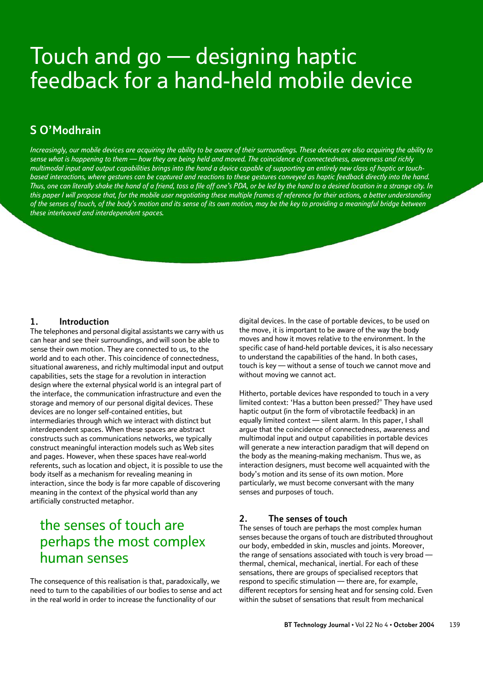# Touch and go — designing haptic feedback for a hand-held mobile device

### **S O'Modhrain**

*Increasingly, our mobile devices are acquiring the ability to be aware of their surroundings. These devices are also acquiring the ability to sense what is happening to them — how they are being held and moved. The coincidence of connectedness, awareness and richly multimodal input and output capabilities brings into the hand a device capable of supporting an entirely new class of haptic or touchbased interactions, where gestures can be captured and reactions to these gestures conveyed as haptic feedback directly into the hand. Thus, one can literally shake the hand of a friend, toss a file off one's PDA, or be led by the hand to a desired location in a strange city. In this paper I will propose that, for the mobile user negotiating these multiple frames of reference for their actions, a better understanding of the senses of touch, of the body's motion and its sense of its own motion, may be the key to providing a meaningful bridge between these interleaved and interdependent spaces.*

### **1. Introduction**

The telephones and personal digital assistants we carry with us can hear and see their surroundings, and will soon be able to sense their own motion. They are connected to us, to the world and to each other. This coincidence of connectedness, situational awareness, and richly multimodal input and output capabilities, sets the stage for a revolution in interaction design where the external physical world is an integral part of the interface, the communication infrastructure and even the storage and memory of our personal digital devices. These devices are no longer self-contained entities, but intermediaries through which we interact with distinct but interdependent spaces. When these spaces are abstract constructs such as communications networks, we typically construct meaningful interaction models such as Web sites and pages. However, when these spaces have real-world referents, such as location and object, it is possible to use the body itself as a mechanism for revealing meaning in interaction, since the body is far more capable of discovering meaning in the context of the physical world than any artificially constructed metaphor.

# the senses of touch are perhaps the most complex human senses

The consequence of this realisation is that, paradoxically, we need to turn to the capabilities of our bodies to sense and act in the real world in order to increase the functionality of our

digital devices. In the case of portable devices, to be used on the move, it is important to be aware of the way the body moves and how it moves relative to the environment. In the specific case of hand-held portable devices, it is also necessary to understand the capabilities of the hand. In both cases, touch is key — without a sense of touch we cannot move and without moving we cannot act.

Hitherto, portable devices have responded to touch in a very limited context: 'Has a button been pressed?' They have used haptic output (in the form of vibrotactile feedback) in an equally limited context — silent alarm. In this paper, I shall argue that the coincidence of connectedness, awareness and multimodal input and output capabilities in portable devices will generate a new interaction paradigm that will depend on the body as the meaning-making mechanism. Thus we, as interaction designers, must become well acquainted with the body's motion and its sense of its own motion. More particularly, we must become conversant with the many senses and purposes of touch.

### **2. The senses of touch**

The senses of touch are perhaps the most complex human senses because the organs of touch are distributed throughout our body, embedded in skin, muscles and joints. Moreover, the range of sensations associated with touch is very broad thermal, chemical, mechanical, inertial. For each of these sensations, there are groups of specialised receptors that respond to specific stimulation — there are, for example, different receptors for sensing heat and for sensing cold. Even within the subset of sensations that result from mechanical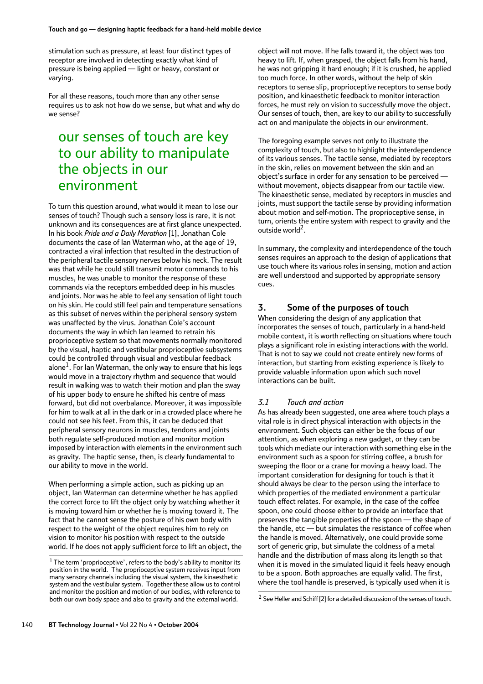stimulation such as pressure, at least four distinct types of receptor are involved in detecting exactly what kind of pressure is being applied — light or heavy, constant or varying.

For all these reasons, touch more than any other sense requires us to ask not how do we sense, but what and why do we sense?

### our senses of touch are key to our ability to manipulate the objects in our environment

To turn this question around, what would it mean to lose our senses of touch? Though such a sensory loss is rare, it is not unknown and its consequences are at first glance unexpected. In his book *Pride and a Daily Marathon* [1], Jonathan Cole documents the case of Ian Waterman who, at the age of 19, contracted a viral infection that resulted in the destruction of the peripheral tactile sensory nerves below his neck. The result was that while he could still transmit motor commands to his muscles, he was unable to monitor the response of these commands via the receptors embedded deep in his muscles and joints. Nor was he able to feel any sensation of light touch on his skin. He could still feel pain and temperature sensations as this subset of nerves within the peripheral sensory system was unaffected by the virus. Jonathan Cole's account documents the way in which Ian learned to retrain his proprioceptive system so that movements normally monitored by the visual, haptic and vestibular proprioceptive subsystems could be controlled through visual and vestibular feedback alone<sup>1</sup>. For Ian Waterman, the only way to ensure that his legs would move in a trajectory rhythm and sequence that would result in walking was to watch their motion and plan the sway of his upper body to ensure he shifted his centre of mass forward, but did not overbalance. Moreover, it was impossible for him to walk at all in the dark or in a crowded place where he could not see his feet. From this, it can be deduced that peripheral sensory neurons in muscles, tendons and joints both regulate self-produced motion and monitor motion imposed by interaction with elements in the environment such as gravity. The haptic sense, then, is clearly fundamental to our ability to move in the world.

When performing a simple action, such as picking up an object, Ian Waterman can determine whether he has applied the correct force to lift the object only by watching whether it is moving toward him or whether he is moving toward it. The fact that he cannot sense the posture of his own body with respect to the weight of the object requires him to rely on vision to monitor his position with respect to the outside world. If he does not apply sufficient force to lift an object, the object will not move. If he falls toward it, the object was too heavy to lift. If, when grasped, the object falls from his hand, he was not gripping it hard enough; if it is crushed, he applied too much force. In other words, without the help of skin receptors to sense slip, proprioceptive receptors to sense body position, and kinaesthetic feedback to monitor interaction forces, he must rely on vision to successfully move the object. Our senses of touch, then, are key to our ability to successfully act on and manipulate the objects in our environment.

The foregoing example serves not only to illustrate the complexity of touch, but also to highlight the interdependence of its various senses. The tactile sense, mediated by receptors in the skin, relies on movement between the skin and an object's surface in order for any sensation to be perceived without movement, objects disappear from our tactile view. The kinaesthetic sense, mediated by receptors in muscles and joints, must support the tactile sense by providing information about motion and self-motion. The proprioceptive sense, in turn, orients the entire system with respect to gravity and the outside world<sup>2</sup>.

In summary, the complexity and interdependence of the touch senses requires an approach to the design of applications that use touch where its various roles in sensing, motion and action are well understood and supported by appropriate sensory cues.

### **3. Some of the purposes of touch**

When considering the design of any application that incorporates the senses of touch, particularly in a hand-held mobile context, it is worth reflecting on situations where touch plays a significant role in existing interactions with the world. That is not to say we could not create entirely new forms of interaction, but starting from existing experience is likely to provide valuable information upon which such novel interactions can be built.

#### *3.1 Touch and action*

As has already been suggested, one area where touch plays a vital role is in direct physical interaction with objects in the environment. Such objects can either be the focus of our attention, as when exploring a new gadget, or they can be tools which mediate our interaction with something else in the environment such as a spoon for stirring coffee, a brush for sweeping the floor or a crane for moving a heavy load. The important consideration for designing for touch is that it should always be clear to the person using the interface to which properties of the mediated environment a particular touch effect relates. For example, in the case of the coffee spoon, one could choose either to provide an interface that preserves the tangible properties of the spoon — the shape of the handle, etc — but simulates the resistance of coffee when the handle is moved. Alternatively, one could provide some sort of generic grip, but simulate the coldness of a metal handle and the distribution of mass along its length so that when it is moved in the simulated liquid it feels heavy enough to be a spoon. Both approaches are equally valid. The first, where the tool handle is preserved, is typically used when it is

 $1$  The term 'proprioceptive', refers to the body's ability to monitor its position in the world. The proprioceptive system receives input from many sensory channels including the visual system, the kinaesthetic system and the vestibular system. Together these allow us to control and monitor the position and motion of our bodies, with reference to both our own body space and also to gravity and the external world.

<sup>&</sup>lt;sup>2</sup> See Heller and Schiff [2] for a detailed discussion of the senses of touch.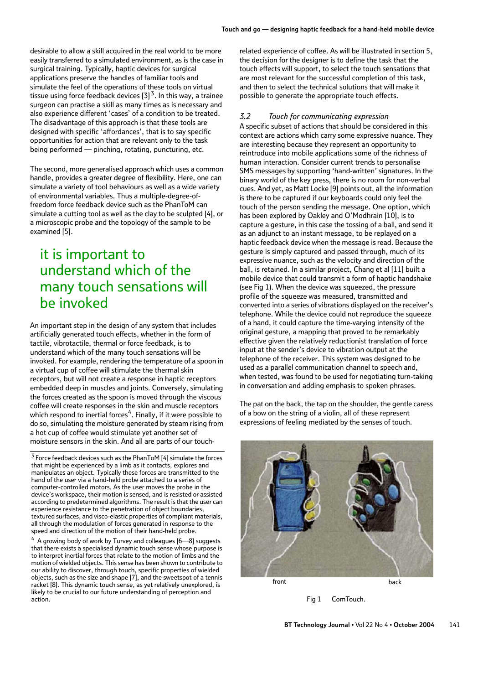desirable to allow a skill acquired in the real world to be more easily transferred to a simulated environment, as is the case in surgical training. Typically, haptic devices for surgical applications preserve the handles of familiar tools and simulate the feel of the operations of these tools on virtual tissue using force feedback devices  $[3]$ <sup>3</sup>. In this way, a trainee surgeon can practise a skill as many times as is necessary and also experience different 'cases' of a condition to be treated. The disadvantage of this approach is that these tools are designed with specific 'affordances', that is to say specific opportunities for action that are relevant only to the task being performed — pinching, rotating, puncturing, etc.

The second, more generalised approach which uses a common handle, provides a greater degree of flexibility. Here, one can simulate a variety of tool behaviours as well as a wide variety of environmental variables. Thus a multiple-degree-offreedom force feedback device such as the PhanToM can simulate a cutting tool as well as the clay to be sculpted [4], or a microscopic probe and the topology of the sample to be examined [5].

# it is important to understand which of the many touch sensations will be invoked

An important step in the design of any system that includes artificially generated touch effects, whether in the form of tactile, vibrotactile, thermal or force feedback, is to understand which of the many touch sensations will be invoked. For example, rendering the temperature of a spoon in a virtual cup of coffee will stimulate the thermal skin receptors, but will not create a response in haptic receptors embedded deep in muscles and joints. Conversely, simulating the forces created as the spoon is moved through the viscous coffee will create responses in the skin and muscle receptors which respond to inertial forces<sup>4</sup>. Finally, if it were possible to do so, simulating the moisture generated by steam rising from a hot cup of coffee would stimulate yet another set of moisture sensors in the skin. And all are parts of our touch-

 $3$  Force feedback devices such as the PhanToM [4] simulate the forces that might be experienced by a limb as it contacts, explores and manipulates an object. Typically these forces are transmitted to the hand of the user via a hand-held probe attached to a series of computer-controlled motors. As the user moves the probe in the device's workspace, their motion is sensed, and is resisted or assisted according to predetermined algorithms. The result is that the user can experience resistance to the penetration of object boundaries, textured surfaces, and visco-elastic properties of compliant materials, all through the modulation of forces generated in response to the speed and direction of the motion of their hand-held probe.

4 A growing body of work by Turvey and colleagues [6—8] suggests that there exists a specialised dynamic touch sense whose purpose is to interpret inertial forces that relate to the motion of limbs and the motion of wielded objects. This sense has been shown to contribute to our ability to discover, through touch, specific properties of wielded objects, such as the size and shape [7], and the sweetspot of a tennis racket [8]. This dynamic touch sense, as yet relatively unexplored, is likely to be crucial to our future understanding of perception and action.

related experience of coffee. As will be illustrated in section 5, the decision for the designer is to define the task that the touch effects will support, to select the touch sensations that are most relevant for the successful completion of this task, and then to select the technical solutions that will make it possible to generate the appropriate touch effects.

#### *3.2 Touch for communicating expression*

A specific subset of actions that should be considered in this context are actions which carry some expressive nuance. They are interesting because they represent an opportunity to reintroduce into mobile applications some of the richness of human interaction. Consider current trends to personalise SMS messages by supporting 'hand-written' signatures. In the binary world of the key press, there is no room for non-verbal cues. And yet, as Matt Locke [9] points out, all the information is there to be captured if our keyboards could only feel the touch of the person sending the message. One option, which has been explored by Oakley and O'Modhrain [10], is to capture a gesture, in this case the tossing of a ball, and send it as an adjunct to an instant message, to be replayed on a haptic feedback device when the message is read. Because the gesture is simply captured and passed through, much of its expressive nuance, such as the velocity and direction of the ball, is retained. In a similar project, Chang et al [11] built a mobile device that could transmit a form of haptic handshake (see Fig 1). When the device was squeezed, the pressure profile of the squeeze was measured, transmitted and converted into a series of vibrations displayed on the receiver's telephone. While the device could not reproduce the squeeze of a hand, it could capture the time-varying intensity of the original gesture, a mapping that proved to be remarkably effective given the relatively reductionist translation of force input at the sender's device to vibration output at the telephone of the receiver. This system was designed to be used as a parallel communication channel to speech and, when tested, was found to be used for negotiating turn-taking in conversation and adding emphasis to spoken phrases.

The pat on the back, the tap on the shoulder, the gentle caress of a bow on the string of a violin, all of these represent expressions of feeling mediated by the senses of touch.



Fig 1 ComTouch.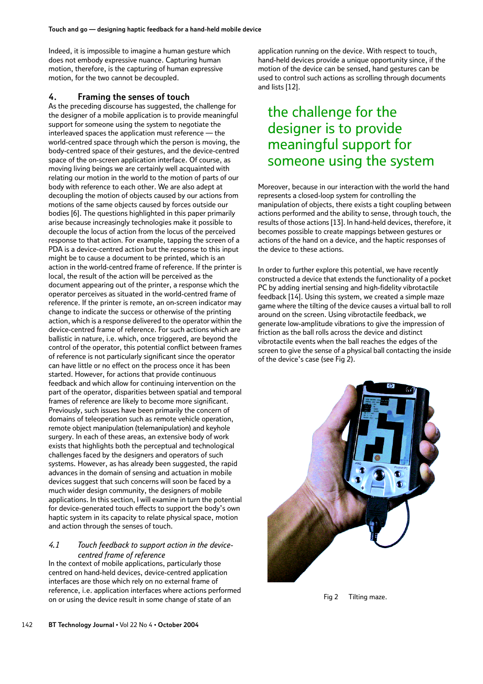Indeed, it is impossible to imagine a human gesture which does not embody expressive nuance. Capturing human motion, therefore, is the capturing of human expressive motion, for the two cannot be decoupled.

#### **4. Framing the senses of touch**

As the preceding discourse has suggested, the challenge for the designer of a mobile application is to provide meaningful support for someone using the system to negotiate the interleaved spaces the application must reference — the world-centred space through which the person is moving, the body-centred space of their gestures, and the device-centred space of the on-screen application interface. Of course, as moving living beings we are certainly well acquainted with relating our motion in the world to the motion of parts of our body with reference to each other. We are also adept at decoupling the motion of objects caused by our actions from motions of the same objects caused by forces outside our bodies [6]. The questions highlighted in this paper primarily arise because increasingly technologies make it possible to decouple the locus of action from the locus of the perceived response to that action. For example, tapping the screen of a PDA is a device-centred action but the response to this input might be to cause a document to be printed, which is an action in the world-centred frame of reference. If the printer is local, the result of the action will be perceived as the document appearing out of the printer, a response which the operator perceives as situated in the world-centred frame of reference. If the printer is remote, an on-screen indicator may change to indicate the success or otherwise of the printing action, which is a response delivered to the operator within the device-centred frame of reference. For such actions which are ballistic in nature, i.e. which, once triggered, are beyond the control of the operator, this potential conflict between frames of reference is not particularly significant since the operator can have little or no effect on the process once it has been started. However, for actions that provide continuous feedback and which allow for continuing intervention on the part of the operator, disparities between spatial and temporal frames of reference are likely to become more significant. Previously, such issues have been primarily the concern of domains of teleoperation such as remote vehicle operation, remote object manipulation (telemanipulation) and keyhole surgery. In each of these areas, an extensive body of work exists that highlights both the perceptual and technological challenges faced by the designers and operators of such systems. However, as has already been suggested, the rapid advances in the domain of sensing and actuation in mobile devices suggest that such concerns will soon be faced by a much wider design community, the designers of mobile applications. In this section, I will examine in turn the potential for device-generated touch effects to support the body's own haptic system in its capacity to relate physical space, motion and action through the senses of touch.

#### *4.1 Touch feedback to support action in the devicecentred frame of reference*

In the context of mobile applications, particularly those centred on hand-held devices, device-centred application interfaces are those which rely on no external frame of reference, i.e. application interfaces where actions performed on or using the device result in some change of state of an

application running on the device. With respect to touch, hand-held devices provide a unique opportunity since, if the motion of the device can be sensed, hand gestures can be used to control such actions as scrolling through documents and lists [12].

# the challenge for the designer is to provide meaningful support for someone using the system

Moreover, because in our interaction with the world the hand represents a closed-loop system for controlling the manipulation of objects, there exists a tight coupling between actions performed and the ability to sense, through touch, the results of those actions [13]. In hand-held devices, therefore, it becomes possible to create mappings between gestures or actions of the hand on a device, and the haptic responses of the device to these actions.

In order to further explore this potential, we have recently constructed a device that extends the functionality of a pocket PC by adding inertial sensing and high-fidelity vibrotactile feedback [14]. Using this system, we created a simple maze game where the tilting of the device causes a virtual ball to roll around on the screen. Using vibrotactile feedback, we generate low-amplitude vibrations to give the impression of friction as the ball rolls across the device and distinct vibrotactile events when the ball reaches the edges of the screen to give the sense of a physical ball contacting the inside of the device's case (see Fig 2).



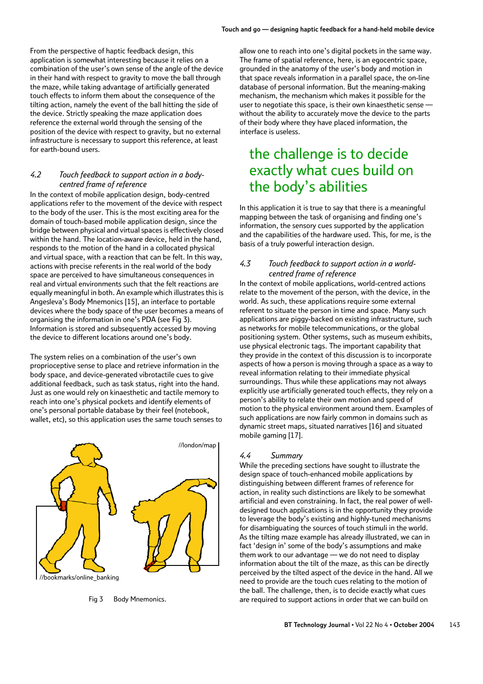From the perspective of haptic feedback design, this application is somewhat interesting because it relies on a combination of the user's own sense of the angle of the device in their hand with respect to gravity to move the ball through the maze, while taking advantage of artificially generated touch effects to inform them about the consequence of the tilting action, namely the event of the ball hitting the side of the device. Strictly speaking the maze application does reference the external world through the sensing of the position of the device with respect to gravity, but no external infrastructure is necessary to support this reference, at least for earth-bound users.

#### *4.2 Touch feedback to support action in a bodycentred frame of reference*

In the context of mobile application design, body-centred applications refer to the movement of the device with respect to the body of the user. This is the most exciting area for the domain of touch-based mobile application design, since the bridge between physical and virtual spaces is effectively closed within the hand. The location-aware device, held in the hand, responds to the motion of the hand in a collocated physical and virtual space, with a reaction that can be felt. In this way, actions with precise referents in the real world of the body space are perceived to have simultaneous consequences in real and virtual environments such that the felt reactions are equally meaningful in both. An example which illustrates this is Angesleva's Body Mnemonics [15], an interface to portable devices where the body space of the user becomes a means of organising the information in one's PDA (see Fig 3). Information is stored and subsequently accessed by moving the device to different locations around one's body.

The system relies on a combination of the user's own proprioceptive sense to place and retrieve information in the body space, and device-generated vibrotactile cues to give additional feedback, such as task status, right into the hand. Just as one would rely on kinaesthetic and tactile memory to reach into one's physical pockets and identify elements of one's personal portable database by their feel (notebook, wallet, etc), so this application uses the same touch senses to



allow one to reach into one's digital pockets in the same way. The frame of spatial reference, here, is an egocentric space, grounded in the anatomy of the user's body and motion in that space reveals information in a parallel space, the on-line database of personal information. But the meaning-making mechanism, the mechanism which makes it possible for the user to negotiate this space, is their own kinaesthetic sense without the ability to accurately move the device to the parts of their body where they have placed information, the interface is useless.

## the challenge is to decide exactly what cues build on the body's abilities

In this application it is true to say that there is a meaningful mapping between the task of organising and finding one's information, the sensory cues supported by the application and the capabilities of the hardware used. This, for me, is the basis of a truly powerful interaction design.

#### *4.3 Touch feedback to support action in a worldcentred frame of reference*

In the context of mobile applications, world-centred actions relate to the movement of the person, with the device, in the world. As such, these applications require some external referent to situate the person in time and space. Many such applications are piggy-backed on existing infrastructure, such as networks for mobile telecommunications, or the global positioning system. Other systems, such as museum exhibits, use physical electronic tags. The important capability that they provide in the context of this discussion is to incorporate aspects of how a person is moving through a space as a way to reveal information relating to their immediate physical surroundings. Thus while these applications may not always explicitly use artificially generated touch effects, they rely on a person's ability to relate their own motion and speed of motion to the physical environment around them. Examples of such applications are now fairly common in domains such as dynamic street maps, situated narratives [16] and situated mobile gaming [17].

#### *4.4 Summary*

While the preceding sections have sought to illustrate the design space of touch-enhanced mobile applications by distinguishing between different frames of reference for action, in reality such distinctions are likely to be somewhat artificial and even constraining. In fact, the real power of welldesigned touch applications is in the opportunity they provide to leverage the body's existing and highly-tuned mechanisms for disambiguating the sources of touch stimuli in the world. As the tilting maze example has already illustrated, we can in fact 'design in' some of the body's assumptions and make them work to our advantage — we do not need to display information about the tilt of the maze, as this can be directly perceived by the tilted aspect of the device in the hand. All we need to provide are the touch cues relating to the motion of the ball. The challenge, then, is to decide exactly what cues Fig 3 Body Mnemonics. The required to support actions in order that we can build on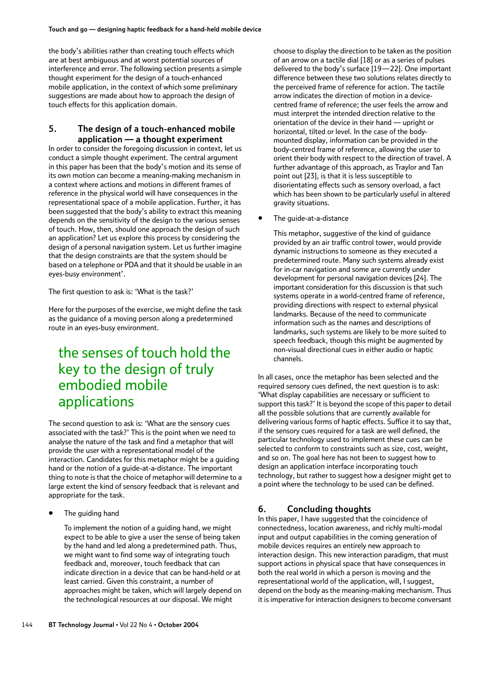the body's abilities rather than creating touch effects which are at best ambiguous and at worst potential sources of interference and error. The following section presents a simple thought experiment for the design of a touch-enhanced mobile application, in the context of which some preliminary suggestions are made about how to approach the design of touch effects for this application domain.

### **5. The design of a touch-enhanced mobile application — a thought experiment**

In order to consider the foregoing discussion in context, let us conduct a simple thought experiment. The central argument in this paper has been that the body's motion and its sense of its own motion can become a meaning-making mechanism in a context where actions and motions in different frames of reference in the physical world will have consequences in the representational space of a mobile application. Further, it has been suggested that the body's ability to extract this meaning depends on the sensitivity of the design to the various senses of touch. How, then, should one approach the design of such an application? Let us explore this process by considering the design of a personal navigation system. Let us further imagine that the design constraints are that the system should be based on a telephone or PDA and that it should be usable in an eyes-busy environment'.

The first question to ask is: 'What is the task?'

Here for the purposes of the exercise, we might define the task as the guidance of a moving person along a predetermined route in an eyes-busy environment.

# the senses of touch hold the key to the design of truly embodied mobile applications

The second question to ask is: 'What are the sensory cues associated with the task?' This is the point when we need to analyse the nature of the task and find a metaphor that will provide the user with a representational model of the interaction. Candidates for this metaphor might be a guiding hand or the notion of a guide-at-a-distance. The important thing to note is that the choice of metaphor will determine to a large extent the kind of sensory feedback that is relevant and appropriate for the task.

The quiding hand

To implement the notion of a guiding hand, we might expect to be able to give a user the sense of being taken by the hand and led along a predetermined path. Thus, we might want to find some way of integrating touch feedback and, moreover, touch feedback that can indicate direction in a device that can be hand-held or at least carried. Given this constraint, a number of approaches might be taken, which will largely depend on the technological resources at our disposal. We might

choose to display the direction to be taken as the position of an arrow on a tactile dial [18] or as a series of pulses delivered to the body's surface [19—22]. One important difference between these two solutions relates directly to the perceived frame of reference for action. The tactile arrow indicates the direction of motion in a devicecentred frame of reference; the user feels the arrow and must interpret the intended direction relative to the orientation of the device in their hand — upright or horizontal, tilted or level. In the case of the bodymounted display, information can be provided in the body-centred frame of reference, allowing the user to orient their body with respect to the direction of travel. A further advantage of this approach, as Traylor and Tan point out [23], is that it is less susceptible to disorientating effects such as sensory overload, a fact which has been shown to be particularly useful in altered gravity situations.

The quide-at-a-distance

This metaphor, suggestive of the kind of guidance provided by an air traffic control tower, would provide dynamic instructions to someone as they executed a predetermined route. Many such systems already exist for in-car navigation and some are currently under development for personal navigation devices [24]. The important consideration for this discussion is that such systems operate in a world-centred frame of reference, providing directions with respect to external physical landmarks. Because of the need to communicate information such as the names and descriptions of landmarks, such systems are likely to be more suited to speech feedback, though this might be augmented by non-visual directional cues in either audio or haptic channels.

In all cases, once the metaphor has been selected and the required sensory cues defined, the next question is to ask: 'What display capabilities are necessary or sufficient to support this task?' It is beyond the scope of this paper to detail all the possible solutions that are currently available for delivering various forms of haptic effects. Suffice it to say that, if the sensory cues required for a task are well defined, the particular technology used to implement these cues can be selected to conform to constraints such as size, cost, weight, and so on. The goal here has not been to suggest how to design an application interface incorporating touch technology, but rather to suggest how a designer might get to a point where the technology to be used can be defined.

### **6. Concluding thoughts**

In this paper, I have suggested that the coincidence of connectedness, location awareness, and richly multi-modal input and output capabilities in the coming generation of mobile devices requires an entirely new approach to interaction design. This new interaction paradigm, that must support actions in physical space that have consequences in both the real world in which a person is moving and the representational world of the application, will, I suggest, depend on the body as the meaning-making mechanism. Thus it is imperative for interaction designers to become conversant